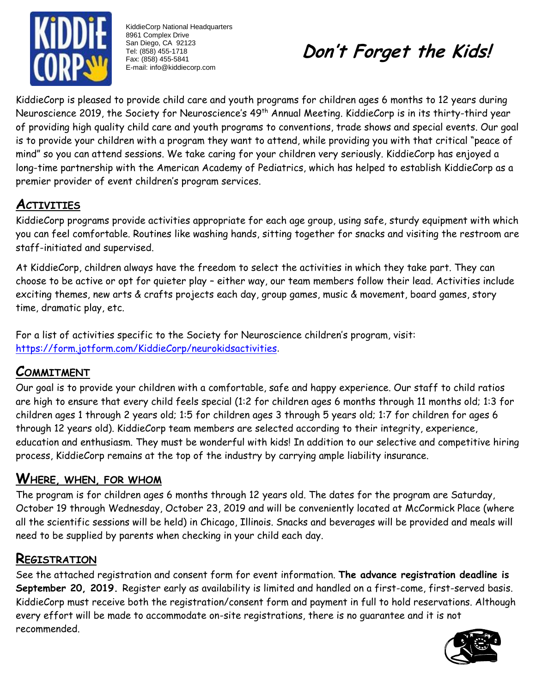

KiddieCorp National Headquarters 8961 Complex Drive San Diego, CA 92123 Tel: (858) 455-1718 Fax: (858) 455-5841 E-mail: info@kiddiecorp.com



KiddieCorp is pleased to provide child care and youth programs for children ages 6 months to 12 years during Neuroscience 2019, the Society for Neuroscience's 49<sup>th</sup> Annual Meeting. KiddieCorp is in its thirty-third year of providing high quality child care and youth programs to conventions, trade shows and special events. Our goal is to provide your children with a program they want to attend, while providing you with that critical "peace of mind" so you can attend sessions. We take caring for your children very seriously. KiddieCorp has enjoyed a long-time partnership with the American Academy of Pediatrics, which has helped to establish KiddieCorp as a premier provider of event children's program services.

# **ACTIVITIES**

KiddieCorp programs provide activities appropriate for each age group, using safe, sturdy equipment with which you can feel comfortable. Routines like washing hands, sitting together for snacks and visiting the restroom are staff-initiated and supervised.

At KiddieCorp, children always have the freedom to select the activities in which they take part. They can choose to be active or opt for quieter play – either way, our team members follow their lead. Activities include exciting themes, new arts & crafts projects each day, group games, music & movement, board games, story time, dramatic play, etc.

For a list of activities specific to the Society for Neuroscience children's program, visit: <https://form.jotform.com/KiddieCorp/neurokidsactivities>.

## **COMMITMENT**

Our goal is to provide your children with a comfortable, safe and happy experience. Our staff to child ratios are high to ensure that every child feels special (1:2 for children ages 6 months through 11 months old; 1:3 for children ages 1 through 2 years old; 1:5 for children ages 3 through 5 years old; 1:7 for children for ages 6 through 12 years old). KiddieCorp team members are selected according to their integrity, experience, education and enthusiasm. They must be wonderful with kids! In addition to our selective and competitive hiring process, KiddieCorp remains at the top of the industry by carrying ample liability insurance.

## **WHERE, WHEN, FOR WHOM**

The program is for children ages 6 months through 12 years old. The dates for the program are Saturday, October 19 through Wednesday, October 23, 2019 and will be conveniently located at McCormick Place (where all the scientific sessions will be held) in Chicago, Illinois. Snacks and beverages will be provided and meals will need to be supplied by parents when checking in your child each day.

## **REGISTRATION**

See the attached registration and consent form for event information. **The advance registration deadline is September 20, 2019.** Register early as availability is limited and handled on a first-come, first-served basis. KiddieCorp must receive both the registration/consent form and payment in full to hold reservations. Although every effort will be made to accommodate on-site registrations, there is no guarantee and it is not recommended.

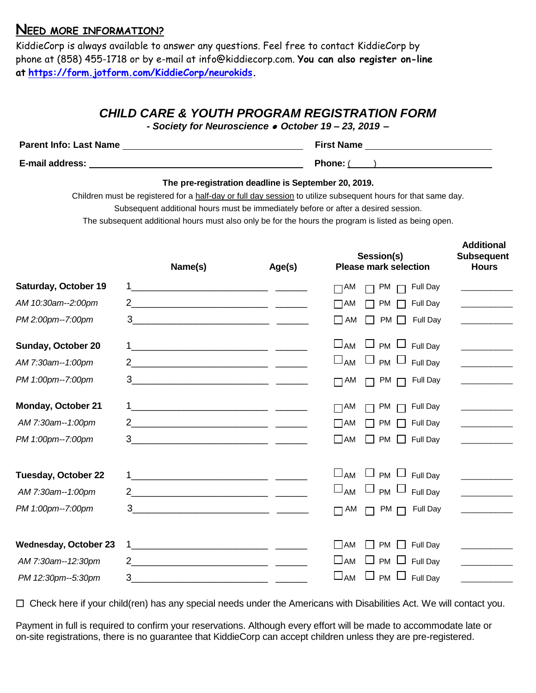### **NEED MORE INFORMATION?**

KiddieCorp is always available to answer any questions. Feel free to contact KiddieCorp by phone at (858) 455-1718 or by e-mail at [info@kiddiecorp.com.](mailto:info@kiddiecorp.com) **You can also register on-line at [https://form.jotform.com/KiddieCorp/neurokids.](https://form.jotform.com/KiddieCorp/neurokids)**

### *CHILD CARE & YOUTH PROGRAM REGISTRATION FORM*

*- Society for Neuroscience* ⚫ *October 19 – 23, 2019 –*

| <b>Parent Info: Last Name</b> | <b>First Name</b> |
|-------------------------------|-------------------|
| <b>E-mail address:</b>        | <b>Phone:</b>     |

#### **The pre-registration deadline is September 20, 2019.**

Children must be registered for a half-day or full day session to utilize subsequent hours for that same day.

 **Additional**

Subsequent additional hours must be immediately before or after a desired session.

The subsequent additional hours must also only be for the hours the program is listed as being open.

|                              | Name(s)                                                                                                                     | Age(s) | Session(s)<br><b>Please mark selection</b>                       | <b>Subsequent</b><br><b>Hours</b>                                                                                                                                                                                                                                                                                                                                                                                                   |
|------------------------------|-----------------------------------------------------------------------------------------------------------------------------|--------|------------------------------------------------------------------|-------------------------------------------------------------------------------------------------------------------------------------------------------------------------------------------------------------------------------------------------------------------------------------------------------------------------------------------------------------------------------------------------------------------------------------|
| Saturday, October 19         |                                                                                                                             |        | <b>Full Day</b><br>$\Box$ AM<br>PM                               | the control of the control of                                                                                                                                                                                                                                                                                                                                                                                                       |
| AM 10:30am--2:00pm           |                                                                                                                             |        | <b>PM</b><br>Full Day<br>$\Box$ AM                               |                                                                                                                                                                                                                                                                                                                                                                                                                                     |
| PM 2:00pm--7:00pm            |                                                                                                                             |        | l I AM<br><b>PM</b><br>Full Day<br>$\mathbf{I}$                  |                                                                                                                                                                                                                                                                                                                                                                                                                                     |
| Sunday, October 20           |                                                                                                                             |        | $\square$ AM<br>$\Box$ PM $\Box$ Full Day                        |                                                                                                                                                                                                                                                                                                                                                                                                                                     |
| AM 7:30am--1:00pm            |                                                                                                                             |        | $\square$ <sub>AM</sub><br><b>PM</b><br>Full Day                 | <u> 1999 - Johann John Barns</u>                                                                                                                                                                                                                                                                                                                                                                                                    |
| PM 1:00pm--7:00pm            |                                                                                                                             |        | PM<br>Full Day<br>$\Box$ AM                                      | <u> 1990 - Jan Barnett, politik e</u>                                                                                                                                                                                                                                                                                                                                                                                               |
| <b>Monday, October 21</b>    |                                                                                                                             |        | PM<br>Full Day<br>$\Box$ AM                                      | <u> Liberal Maria Maria San Barat da Barat da Barat da Barat da Barat da Barat da Barat da Barat da Barat da Barat da Barat da Barat da Barat da Barat da Barat da Barat da Barat da Barat da Barat da Barat da Barat da Barat d</u>                                                                                                                                                                                                |
| AM 7:30am--1:00pm            |                                                                                                                             |        | <b>PM</b><br>Full Day<br>$\Box$ am                               |                                                                                                                                                                                                                                                                                                                                                                                                                                     |
| PM 1:00pm--7:00pm            |                                                                                                                             |        | $\Box$ AM<br><b>PM</b><br>Full Day                               |                                                                                                                                                                                                                                                                                                                                                                                                                                     |
| <b>Tuesday, October 22</b>   | <u> 1999 - Johann Barbara, martin amerikan personal (h. 1908).</u>                                                          |        | $\square$ AM<br>$\Box$ PM $\Box$<br>Full Day                     | $\label{eq:2.1} \frac{1}{\sqrt{2\pi}}\left(\frac{1}{\sqrt{2\pi}}\right)^{1/2}\left(\frac{1}{\sqrt{2\pi}}\right)^{1/2}\left(\frac{1}{\sqrt{2\pi}}\right)^{1/2}\left(\frac{1}{\sqrt{2\pi}}\right)^{1/2}\left(\frac{1}{\sqrt{2\pi}}\right)^{1/2}\left(\frac{1}{\sqrt{2\pi}}\right)^{1/2}\left(\frac{1}{\sqrt{2\pi}}\right)^{1/2}\left(\frac{1}{\sqrt{2\pi}}\right)^{1/2}\left(\frac{1}{\sqrt{2\pi}}\right)^{1/2}\left(\frac{1}{\sqrt{$ |
| AM 7:30am--1:00pm            |                                                                                                                             |        | $\square$ <sub>AM</sub><br>$\sqcup$ $_{PM}$ $\sqcup$<br>Full Day |                                                                                                                                                                                                                                                                                                                                                                                                                                     |
| PM 1:00pm--7:00pm            | $\begin{tabular}{c} 3 \end{tabular}$                                                                                        |        | <b>PM</b><br>$\Box$ AM<br>Full Day<br>$\sqrt{2}$                 |                                                                                                                                                                                                                                                                                                                                                                                                                                     |
| <b>Wednesday, October 23</b> |                                                                                                                             |        | l IAM<br><b>PM</b><br>Full Day                                   | <b>Contract Contract Contract</b>                                                                                                                                                                                                                                                                                                                                                                                                   |
| AM 7:30am--12:30pm           | $\overline{2}$                                                                                                              |        | $\Box$ AM<br><b>PM</b><br>Full Day                               | <b>Contract Contract Contract</b>                                                                                                                                                                                                                                                                                                                                                                                                   |
| PM 12:30pm--5:30pm           | 3<br><u> 1980 - Jan Stein Harry Harry Harry Harry Harry Harry Harry Harry Harry Harry Harry Harry Harry Harry Harry Har</u> |        | $\square$ AM<br>ப<br>$PM$ $\Box$<br>Full Day                     |                                                                                                                                                                                                                                                                                                                                                                                                                                     |

□ Check here if your child(ren) has any special needs under the Americans with Disabilities Act. We will contact you.

Payment in full is required to confirm your reservations. Although every effort will be made to accommodate late or on-site registrations, there is no guarantee that KiddieCorp can accept children unless they are pre-registered.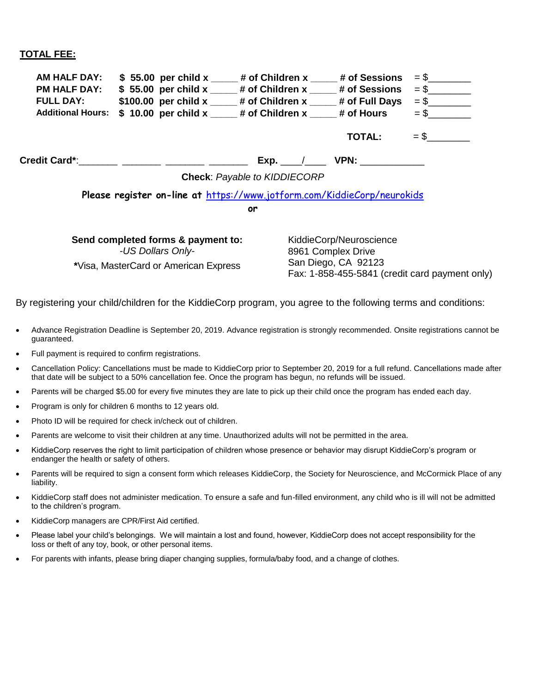#### **TOTAL FEE:**

| <b>AM HALF DAY:</b><br><b>PM HALF DAY:</b><br><b>FULL DAY:</b><br><b>Additional Hours:</b> | $$55.00$ per child x $*$ # of Children x $*$ # of Sessions<br>$$55.00$ per child x $*$ # of Children x $*$ # of Sessions<br>\$100.00 per child $x$ # of Children $x$ # of Full Days<br>$$10.00$ per child x $$#$ of Children x $$#$ of Hours |    |                                      | <b>TOTAL:</b>                                                        | $=$ \$<br>$=$ \$<br>$=$ \$                     |
|--------------------------------------------------------------------------------------------|----------------------------------------------------------------------------------------------------------------------------------------------------------------------------------------------------------------------------------------------|----|--------------------------------------|----------------------------------------------------------------------|------------------------------------------------|
|                                                                                            | Credit Card*: _______ _______ _______ ____<br>Please register on-line at https://www.jotform.com/KiddieCorp/neurokids                                                                                                                        | or | Exp.<br>Check: Payable to KIDDIECORP | <b>VPN: _____________</b>                                            |                                                |
|                                                                                            | Send completed forms & payment to:<br>-US Dollars Only-<br>*Visa, MasterCard or American Express                                                                                                                                             |    |                                      | KiddieCorp/Neuroscience<br>8961 Complex Drive<br>San Diego, CA 92123 | Fax: 1-858-455-5841 (credit card payment only) |

By registering your child/children for the KiddieCorp program, you agree to the following terms and conditions:

- Advance Registration Deadline is September 20, 2019. Advance registration is strongly recommended. Onsite registrations cannot be guaranteed.
- Full payment is required to confirm registrations.
- Cancellation Policy: Cancellations must be made to KiddieCorp prior to September 20, 2019 for a full refund. Cancellations made after that date will be subject to a 50% cancellation fee. Once the program has begun, no refunds will be issued.
- Parents will be charged \$5.00 for every five minutes they are late to pick up their child once the program has ended each day.
- Program is only for children 6 months to 12 years old.
- Photo ID will be required for check in/check out of children.
- Parents are welcome to visit their children at any time. Unauthorized adults will not be permitted in the area.
- KiddieCorp reserves the right to limit participation of children whose presence or behavior may disrupt KiddieCorp's program or endanger the health or safety of others.
- Parents will be required to sign a consent form which releases KiddieCorp, the Society for Neuroscience, and McCormick Place of any liability.
- KiddieCorp staff does not administer medication. To ensure a safe and fun-filled environment, any child who is ill will not be admitted to the children's program.
- KiddieCorp managers are CPR/First Aid certified.
- Please label your child's belongings. We will maintain a lost and found, however, KiddieCorp does not accept responsibility for the loss or theft of any toy, book, or other personal items.
- For parents with infants, please bring diaper changing supplies, formula/baby food, and a change of clothes.